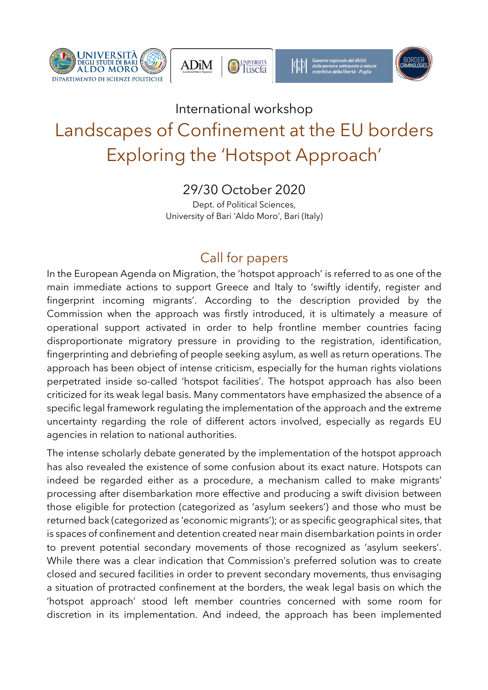







Garante regionale dei diritti<br>delle persone sottoposte a m<br>restrittive della libertà - Pug



## International workshop Landscapes of Confinement at the EU borders Exploring the 'Hotspot Approach'

29/30 October 2020

Dept. of Political Sciences, University of Bari 'Aldo Moro', Bari (Italy)

## Call for papers

In the European Agenda on Migration, the 'hotspot approach' is referred to as one of the main immediate actions to support Greece and Italy to 'swiftly identify, register and fingerprint incoming migrants'. According to the description provided by the Commission when the approach was firstly introduced, it is ultimately a measure of operational support activated in order to help frontline member countries facing disproportionate migratory pressure in providing to the registration, identification, fingerprinting and debriefing of people seeking asylum, as well as return operations. The approach has been object of intense criticism, especially for the human rights violations perpetrated inside so-called 'hotspot facilities'. The hotspot approach has also been criticized for its weak legal basis. Many commentators have emphasized the absence of a specific legal framework regulating the implementation of the approach and the extreme uncertainty regarding the role of different actors involved, especially as regards EU agencies in relation to national authorities.

The intense scholarly debate generated by the implementation of the hotspot approach has also revealed the existence of some confusion about its exact nature. Hotspots can indeed be regarded either as a procedure, a mechanism called to make migrants' processing after disembarkation more effective and producing a swift division between those eligible for protection (categorized as 'asylum seekers') and those who must be returned back (categorized as 'economic migrants'); or as specific geographical sites, that is spaces of confinement and detention created near main disembarkation points in order to prevent potential secondary movements of those recognized as 'asylum seekers'. While there was a clear indication that Commission's preferred solution was to create closed and secured facilities in order to prevent secondary movements, thus envisaging a situation of protracted confinement at the borders, the weak legal basis on which the 'hotspot approach' stood left member countries concerned with some room for discretion in its implementation. And indeed, the approach has been implemented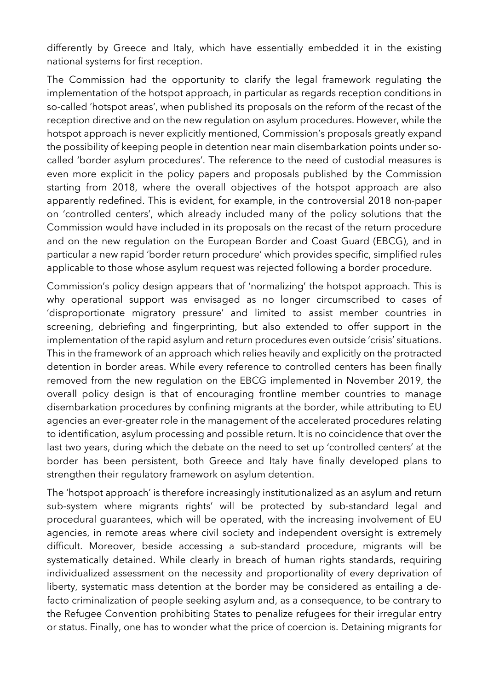differently by Greece and Italy, which have essentially embedded it in the existing national systems for first reception.

The Commission had the opportunity to clarify the legal framework regulating the implementation of the hotspot approach, in particular as regards reception conditions in so-called 'hotspot areas', when published its proposals on the reform of the recast of the reception directive and on the new regulation on asylum procedures. However, while the hotspot approach is never explicitly mentioned, Commission's proposals greatly expand the possibility of keeping people in detention near main disembarkation points under socalled 'border asylum procedures'. The reference to the need of custodial measures is even more explicit in the policy papers and proposals published by the Commission starting from 2018, where the overall objectives of the hotspot approach are also apparently redefined. This is evident, for example, in the controversial 2018 non-paper on 'controlled centers', which already included many of the policy solutions that the Commission would have included in its proposals on the recast of the return procedure and on the new regulation on the European Border and Coast Guard (EBCG), and in particular a new rapid 'border return procedure' which provides specific, simplified rules applicable to those whose asylum request was rejected following a border procedure.

Commission's policy design appears that of 'normalizing' the hotspot approach. This is why operational support was envisaged as no longer circumscribed to cases of 'disproportionate migratory pressure' and limited to assist member countries in screening, debriefing and fingerprinting, but also extended to offer support in the implementation of the rapid asylum and return procedures even outside 'crisis' situations. This in the framework of an approach which relies heavily and explicitly on the protracted detention in border areas. While every reference to controlled centers has been finally removed from the new regulation on the EBCG implemented in November 2019, the overall policy design is that of encouraging frontline member countries to manage disembarkation procedures by confining migrants at the border, while attributing to EU agencies an ever-greater role in the management of the accelerated procedures relating to identification, asylum processing and possible return. It is no coincidence that over the last two years, during which the debate on the need to set up 'controlled centers' at the border has been persistent, both Greece and Italy have finally developed plans to strengthen their regulatory framework on asylum detention.

The 'hotspot approach' is therefore increasingly institutionalized as an asylum and return sub-system where migrants rights' will be protected by sub-standard legal and procedural guarantees, which will be operated, with the increasing involvement of EU agencies, in remote areas where civil society and independent oversight is extremely difficult. Moreover, beside accessing a sub-standard procedure, migrants will be systematically detained. While clearly in breach of human rights standards, requiring individualized assessment on the necessity and proportionality of every deprivation of liberty, systematic mass detention at the border may be considered as entailing a defacto criminalization of people seeking asylum and, as a consequence, to be contrary to the Refugee Convention prohibiting States to penalize refugees for their irregular entry or status. Finally, one has to wonder what the price of coercion is. Detaining migrants for